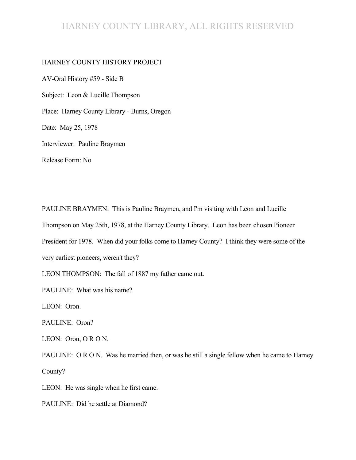# HARNEY COUNTY LIBRARY, ALL RIGHTS RESERVED

#### HARNEY COUNTY HISTORY PROJECT

AV-Oral History #59 - Side B Subject: Leon & Lucille Thompson Place: Harney County Library - Burns, Oregon Date: May 25, 1978 Interviewer: Pauline Braymen Release Form: No

PAULINE BRAYMEN: This is Pauline Braymen, and I'm visiting with Leon and Lucille Thompson on May 25th, 1978, at the Harney County Library. Leon has been chosen Pioneer President for 1978. When did your folks come to Harney County? I think they were some of the very earliest pioneers, weren't they?

LEON THOMPSON: The fall of 1887 my father came out.

PAULINE: What was his name?

LEON: Oron.

PAULINE: Oron?

LEON: Oron, O R O N.

PAULINE: O R O N. Was he married then, or was he still a single fellow when he came to Harney County?

LEON: He was single when he first came.

PAULINE: Did he settle at Diamond?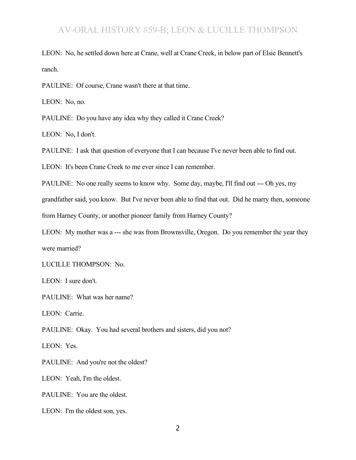LEON: No, he settled down here at Crane, well at Crane Creek, in below part of Elsie Bennett's ranch.

PAULINE: Of course, Crane wasn't there at that time.

LEON: No, no.

PAULINE: Do you have any idea why they called it Crane Creek?

LEON: No, I don't.

PAULINE: I ask that question of everyone that I can because I've never been able to find out.

LEON: It's been Crane Creek to me ever since I can remember.

PAULINE: No one really seems to know why. Some day, maybe, I'll find out --- Oh yes, my

grandfather said, you know. But I've never been able to find that out. Did he marry then, someone

from Harney County, or another pioneer family from Harney County?

LEON: My mother was a --- she was from Brownsville, Oregon. Do you remember the year they were married?

LUCILLE THOMPSON: No.

LEON: I sure don't.

PAULINE: What was her name?

LEON: Carrie.

PAULINE: Okay. You had several brothers and sisters, did you not?

LEON: Yes.

PAULINE: And you're not the oldest?

LEON: Yeah, I'm the oldest.

PAULINE: You are the oldest.

LEON: I'm the oldest son, yes.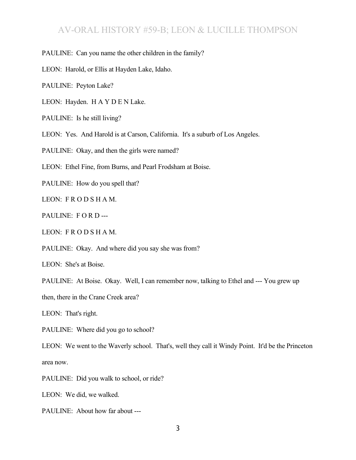PAULINE: Can you name the other children in the family?

LEON: Harold, or Ellis at Hayden Lake, Idaho.

PAULINE: Peyton Lake?

LEON: Hayden. H A Y D E N Lake.

PAULINE: Is he still living?

LEON: Yes. And Harold is at Carson, California. It's a suburb of Los Angeles.

PAULINE: Okay, and then the girls were named?

LEON: Ethel Fine, from Burns, and Pearl Frodsham at Boise.

PAULINE: How do you spell that?

LEON: F R O D S H A M.

PAULINE: FORD---

LEON: F R O D S H A M.

PAULINE: Okay. And where did you say she was from?

LEON: She's at Boise.

PAULINE: At Boise. Okay. Well, I can remember now, talking to Ethel and --- You grew up

then, there in the Crane Creek area?

LEON: That's right.

PAULINE: Where did you go to school?

LEON: We went to the Waverly school. That's, well they call it Windy Point. It'd be the Princeton area now.

PAULINE: Did you walk to school, or ride?

LEON: We did, we walked.

PAULINE: About how far about ---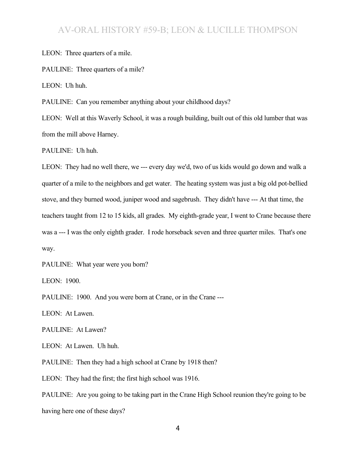LEON: Three quarters of a mile.

PAULINE: Three quarters of a mile?

LEON: Uh huh.

PAULINE: Can you remember anything about your childhood days?

LEON: Well at this Waverly School, it was a rough building, built out of this old lumber that was from the mill above Harney.

PAULINE: Uh huh.

LEON: They had no well there, we --- every day we'd, two of us kids would go down and walk a quarter of a mile to the neighbors and get water. The heating system was just a big old pot-bellied stove, and they burned wood, juniper wood and sagebrush. They didn't have --- At that time, the teachers taught from 12 to 15 kids, all grades. My eighth-grade year, I went to Crane because there was a --- I was the only eighth grader. I rode horseback seven and three quarter miles. That's one way.

PAULINE: What year were you born?

LEON: 1900.

PAULINE: 1900. And you were born at Crane, or in the Crane ---

LEON: At Lawen.

PAULINE: At Lawen?

LEON: At Lawen. Uh huh.

PAULINE: Then they had a high school at Crane by 1918 then?

LEON: They had the first; the first high school was 1916.

PAULINE: Are you going to be taking part in the Crane High School reunion they're going to be having here one of these days?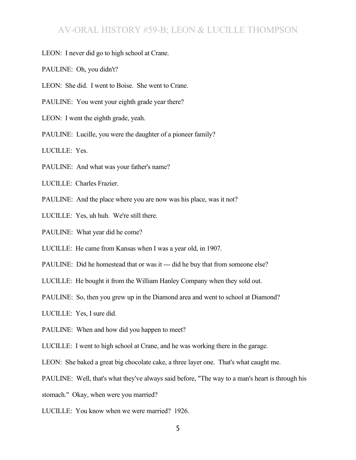LEON: I never did go to high school at Crane.

PAULINE: Oh, you didn't?

LEON: She did. I went to Boise. She went to Crane.

PAULINE: You went your eighth grade year there?

LEON: I went the eighth grade, yeah.

PAULINE: Lucille, you were the daughter of a pioneer family?

LUCILLE: Yes.

PAULINE: And what was your father's name?

LUCILLE: Charles Frazier.

PAULINE: And the place where you are now was his place, was it not?

LUCILLE: Yes, uh huh. We're still there.

PAULINE: What year did he come?

LUCILLE: He came from Kansas when I was a year old, in 1907.

PAULINE: Did he homestead that or was it --- did he buy that from someone else?

LUCILLE: He bought it from the William Hanley Company when they sold out.

PAULINE: So, then you grew up in the Diamond area and went to school at Diamond?

LUCILLE: Yes, I sure did.

PAULINE: When and how did you happen to meet?

LUCILLE: I went to high school at Crane, and he was working there in the garage.

LEON: She baked a great big chocolate cake, a three layer one. That's what caught me.

PAULINE: Well, that's what they've always said before, "The way to a man's heart is through his

stomach." Okay, when were you married?

LUCILLE: You know when we were married? 1926.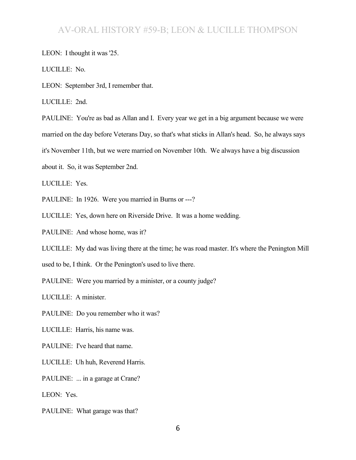#### LEON: I thought it was '25.

LUCILLE: No.

LEON: September 3rd, I remember that.

LUCILLE: 2nd.

PAULINE: You're as bad as Allan and I. Every year we get in a big argument because we were married on the day before Veterans Day, so that's what sticks in Allan's head. So, he always says it's November 11th, but we were married on November 10th. We always have a big discussion

about it. So, it was September 2nd.

LUCILLE: Yes.

PAULINE: In 1926. Were you married in Burns or ---?

LUCILLE: Yes, down here on Riverside Drive. It was a home wedding.

PAULINE: And whose home, was it?

LUCILLE: My dad was living there at the time; he was road master. It's where the Penington Mill

used to be, I think. Or the Penington's used to live there.

PAULINE: Were you married by a minister, or a county judge?

LUCILLE: A minister.

PAULINE: Do you remember who it was?

LUCILLE: Harris, his name was.

PAULINE: I've heard that name.

LUCILLE: Uh huh, Reverend Harris.

PAULINE: ... in a garage at Crane?

LEON: Yes.

PAULINE: What garage was that?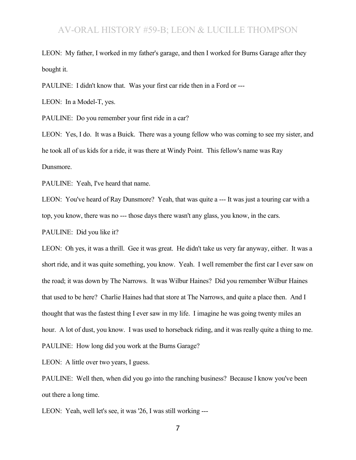LEON: My father, I worked in my father's garage, and then I worked for Burns Garage after they bought it.

PAULINE: I didn't know that. Was your first car ride then in a Ford or ---

LEON: In a Model-T, yes.

PAULINE: Do you remember your first ride in a car?

LEON: Yes, I do. It was a Buick. There was a young fellow who was coming to see my sister, and he took all of us kids for a ride, it was there at Windy Point. This fellow's name was Ray Dunsmore.

PAULINE: Yeah, I've heard that name.

LEON: You've heard of Ray Dunsmore? Yeah, that was quite a --- It was just a touring car with a top, you know, there was no --- those days there wasn't any glass, you know, in the cars.

PAULINE: Did you like it?

LEON: Oh yes, it was a thrill. Gee it was great. He didn't take us very far anyway, either. It was a short ride, and it was quite something, you know. Yeah. I well remember the first car I ever saw on the road; it was down by The Narrows. It was Wilbur Haines? Did you remember Wilbur Haines that used to be here? Charlie Haines had that store at The Narrows, and quite a place then. And I thought that was the fastest thing I ever saw in my life. I imagine he was going twenty miles an hour. A lot of dust, you know. I was used to horseback riding, and it was really quite a thing to me. PAULINE: How long did you work at the Burns Garage?

LEON: A little over two years, I guess.

PAULINE: Well then, when did you go into the ranching business? Because I know you've been out there a long time.

LEON: Yeah, well let's see, it was '26, I was still working ---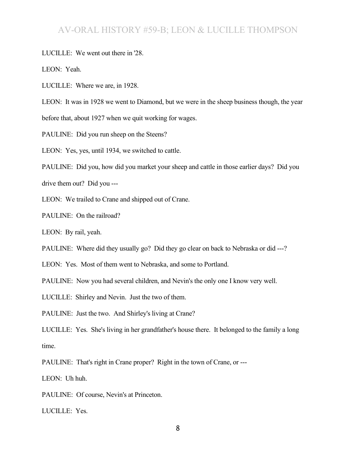LUCILLE: We went out there in '28.

LEON: Yeah.

LUCILLE: Where we are, in 1928.

LEON: It was in 1928 we went to Diamond, but we were in the sheep business though, the year

before that, about 1927 when we quit working for wages.

PAULINE: Did you run sheep on the Steens?

LEON: Yes, yes, until 1934, we switched to cattle.

PAULINE: Did you, how did you market your sheep and cattle in those earlier days? Did you

drive them out? Did you ---

LEON: We trailed to Crane and shipped out of Crane.

PAULINE: On the railroad?

LEON: By rail, yeah.

PAULINE: Where did they usually go? Did they go clear on back to Nebraska or did ---?

LEON: Yes. Most of them went to Nebraska, and some to Portland.

PAULINE: Now you had several children, and Nevin's the only one I know very well.

LUCILLE: Shirley and Nevin. Just the two of them.

PAULINE: Just the two. And Shirley's living at Crane?

LUCILLE: Yes. She's living in her grandfather's house there. It belonged to the family a long time.

PAULINE: That's right in Crane proper? Right in the town of Crane, or ---

LEON: Uh huh.

PAULINE: Of course, Nevin's at Princeton.

LUCILLE: Yes.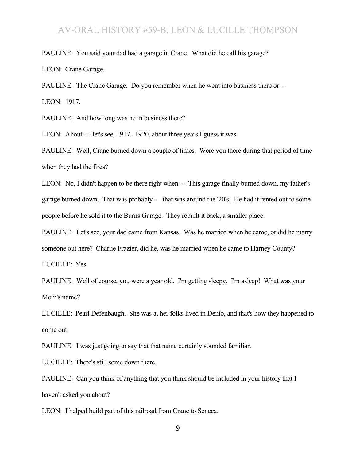PAULINE: You said your dad had a garage in Crane. What did he call his garage? LEON: Crane Garage.

PAULINE: The Crane Garage. Do you remember when he went into business there or --- LEON: 1917.

PAULINE: And how long was he in business there?

LEON: About --- let's see, 1917. 1920, about three years I guess it was.

PAULINE: Well, Crane burned down a couple of times. Were you there during that period of time when they had the fires?

LEON: No, I didn't happen to be there right when --- This garage finally burned down, my father's garage burned down. That was probably --- that was around the '20's. He had it rented out to some people before he sold it to the Burns Garage. They rebuilt it back, a smaller place.

PAULINE: Let's see, your dad came from Kansas. Was he married when he came, or did he marry

someone out here? Charlie Frazier, did he, was he married when he came to Harney County?

LUCILLE: Yes.

PAULINE: Well of course, you were a year old. I'm getting sleepy. I'm asleep! What was your Mom's name?

LUCILLE: Pearl Defenbaugh. She was a, her folks lived in Denio, and that's how they happened to come out.

PAULINE: I was just going to say that that name certainly sounded familiar.

LUCILLE: There's still some down there.

PAULINE: Can you think of anything that you think should be included in your history that I haven't asked you about?

LEON: I helped build part of this railroad from Crane to Seneca.

9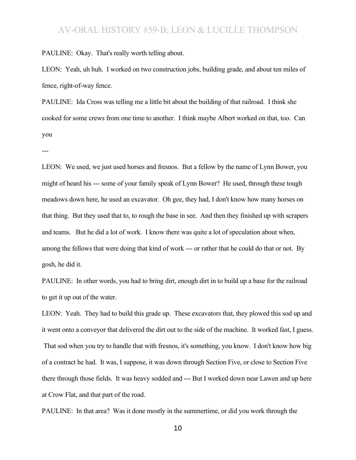PAULINE: Okay. That's really worth telling about.

LEON: Yeah, uh huh. I worked on two construction jobs, building grade, and about ten miles of fence, right-of-way fence.

PAULINE: Ida Cross was telling me a little bit about the building of that railroad. I think she cooked for some crews from one time to another. I think maybe Albert worked on that, too. Can you

---

LEON: We used, we just used horses and fresnos. But a fellow by the name of Lynn Bower, you might of heard his --- some of your family speak of Lynn Bower? He used, through these tough meadows down here, he used an excavator. Oh gee, they had, I don't know how many horses on that thing. But they used that to, to rough the base in see. And then they finished up with scrapers and teams. But he did a lot of work. I know there was quite a lot of speculation about when, among the fellows that were doing that kind of work --- or rather that he could do that or not. By gosh, he did it.

PAULINE: In other words, you had to bring dirt, enough dirt in to build up a base for the railroad to get it up out of the water.

LEON: Yeah. They had to build this grade up. These excavators that, they plowed this sod up and it went onto a conveyor that delivered the dirt out to the side of the machine. It worked fast, I guess. That sod when you try to handle that with fresnos, it's something, you know. I don't know how big of a contract he had. It was, I suppose, it was down through Section Five, or close to Section Five there through those fields. It was heavy sodded and --- But I worked down near Lawen and up here at Crow Flat, and that part of the road.

PAULINE: In that area? Was it done mostly in the summertime, or did you work through the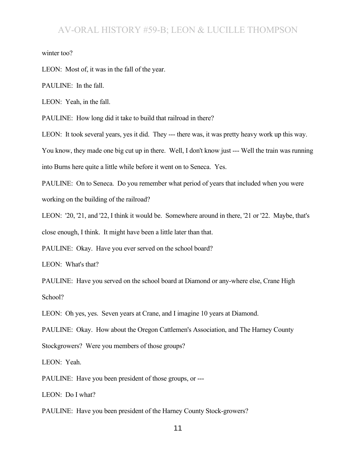winter too?

LEON: Most of, it was in the fall of the year.

PAULINE: In the fall.

LEON: Yeah, in the fall.

PAULINE: How long did it take to build that railroad in there?

LEON: It took several years, yes it did. They --- there was, it was pretty heavy work up this way.

You know, they made one big cut up in there. Well, I don't know just --- Well the train was running

into Burns here quite a little while before it went on to Seneca. Yes.

PAULINE: On to Seneca. Do you remember what period of years that included when you were working on the building of the railroad?

LEON: '20, '21, and '22, I think it would be. Somewhere around in there, '21 or '22. Maybe, that's close enough, I think. It might have been a little later than that.

PAULINE: Okay. Have you ever served on the school board?

LEON: What's that?

PAULINE: Have you served on the school board at Diamond or any-where else, Crane High School?

LEON: Oh yes, yes. Seven years at Crane, and I imagine 10 years at Diamond.

PAULINE: Okay. How about the Oregon Cattlemen's Association, and The Harney County Stockgrowers? Were you members of those groups?

LEON: Yeah.

PAULINE: Have you been president of those groups, or ---

LEON: Do I what?

PAULINE: Have you been president of the Harney County Stock-growers?

11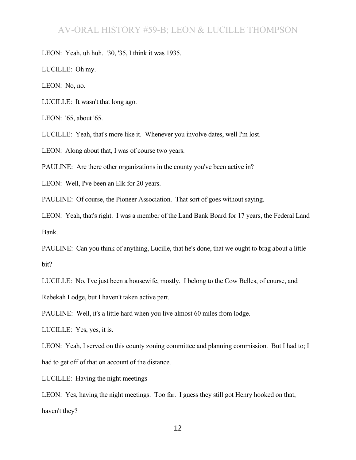LEON: Yeah, uh huh. '30, '35, I think it was 1935.

LUCILLE: Oh my.

LEON: No, no.

LUCILLE: It wasn't that long ago.

LEON: '65, about '65.

LUCILLE: Yeah, that's more like it. Whenever you involve dates, well I'm lost.

LEON: Along about that, I was of course two years.

PAULINE: Are there other organizations in the county you've been active in?

LEON: Well, I've been an Elk for 20 years.

PAULINE: Of course, the Pioneer Association. That sort of goes without saying.

LEON: Yeah, that's right. I was a member of the Land Bank Board for 17 years, the Federal Land Bank.

PAULINE: Can you think of anything, Lucille, that he's done, that we ought to brag about a little bit?

LUCILLE: No, I've just been a housewife, mostly. I belong to the Cow Belles, of course, and Rebekah Lodge, but I haven't taken active part.

PAULINE: Well, it's a little hard when you live almost 60 miles from lodge.

LUCILLE: Yes, yes, it is.

LEON: Yeah, I served on this county zoning committee and planning commission. But I had to; I had to get off of that on account of the distance.

LUCILLE: Having the night meetings ---

LEON: Yes, having the night meetings. Too far. I guess they still got Henry hooked on that, haven't they?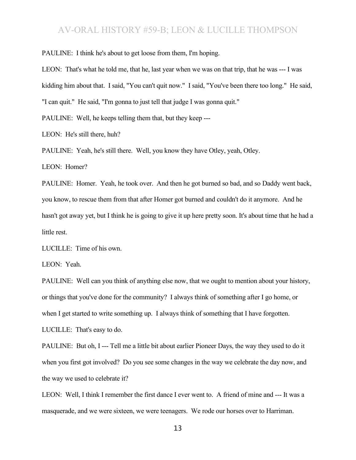PAULINE: I think he's about to get loose from them, I'm hoping.

LEON: That's what he told me, that he, last year when we was on that trip, that he was --- I was kidding him about that. I said, "You can't quit now." I said, "You've been there too long." He said, "I can quit." He said, "I'm gonna to just tell that judge I was gonna quit."

PAULINE: Well, he keeps telling them that, but they keep ---

LEON: He's still there, huh?

PAULINE: Yeah, he's still there. Well, you know they have Otley, yeah, Otley.

LEON: Homer?

PAULINE: Homer. Yeah, he took over. And then he got burned so bad, and so Daddy went back, you know, to rescue them from that after Homer got burned and couldn't do it anymore. And he hasn't got away yet, but I think he is going to give it up here pretty soon. It's about time that he had a little rest.

LUCILLE: Time of his own.

LEON: Yeah.

PAULINE: Well can you think of anything else now, that we ought to mention about your history, or things that you've done for the community? I always think of something after I go home, or when I get started to write something up. I always think of something that I have forgotten.

LUCILLE: That's easy to do.

PAULINE: But oh, I --- Tell me a little bit about earlier Pioneer Days, the way they used to do it when you first got involved? Do you see some changes in the way we celebrate the day now, and the way we used to celebrate it?

LEON: Well, I think I remember the first dance I ever went to. A friend of mine and --- It was a masquerade, and we were sixteen, we were teenagers. We rode our horses over to Harriman.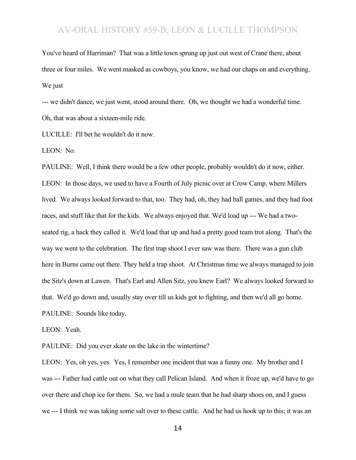You've heard of Harriman? That was a little town sprung up just out west of Crane there, about three or four miles. We went masked as cowboys, you know, we had our chaps on and everything. We just

--- we didn't dance, we just went, stood around there. Oh, we thought we had a wonderful time. Oh, that was about a sixteen-mile ride.

LUCILLE: I'll bet he wouldn't do it now.

LEON: No.

PAULINE: Well, I think there would be a few other people, probably wouldn't do it now, either. LEON: In those days, we used to have a Fourth of July picnic over at Crow Camp, where Millers lived. We always looked forward to that, too. They had, oh, they had ball games, and they had foot races, and stuff like that for the kids. We always enjoyed that. We'd load up --- We had a twoseated rig, a hack they called it. We'd load that up and had a pretty good team trot along. That's the way we went to the celebration. The first trap shoot I ever saw was there. There was a gun club here in Burns came out there. They held a trap shoot. At Christmas time we always managed to join the Sitz's down at Lawen. That's Earl and Allen Sitz, you knew Earl? We always looked forward to that. We'd go down and, usually stay over till us kids got to fighting, and then we'd all go home. PAULINE: Sounds like today.

LEON: Yeah.

PAULINE: Did you ever skate on the lake in the wintertime?

LEON: Yes, oh yes, yes. Yes, I remember one incident that was a funny one. My brother and I was --- Father had cattle out on what they call Pelican Island. And when it froze up, we'd have to go over there and chop ice for them. So, we had a mule team that he had sharp shoes on, and I guess we --- I think we was taking some salt over to these cattle. And he had us hook up to this; it was an